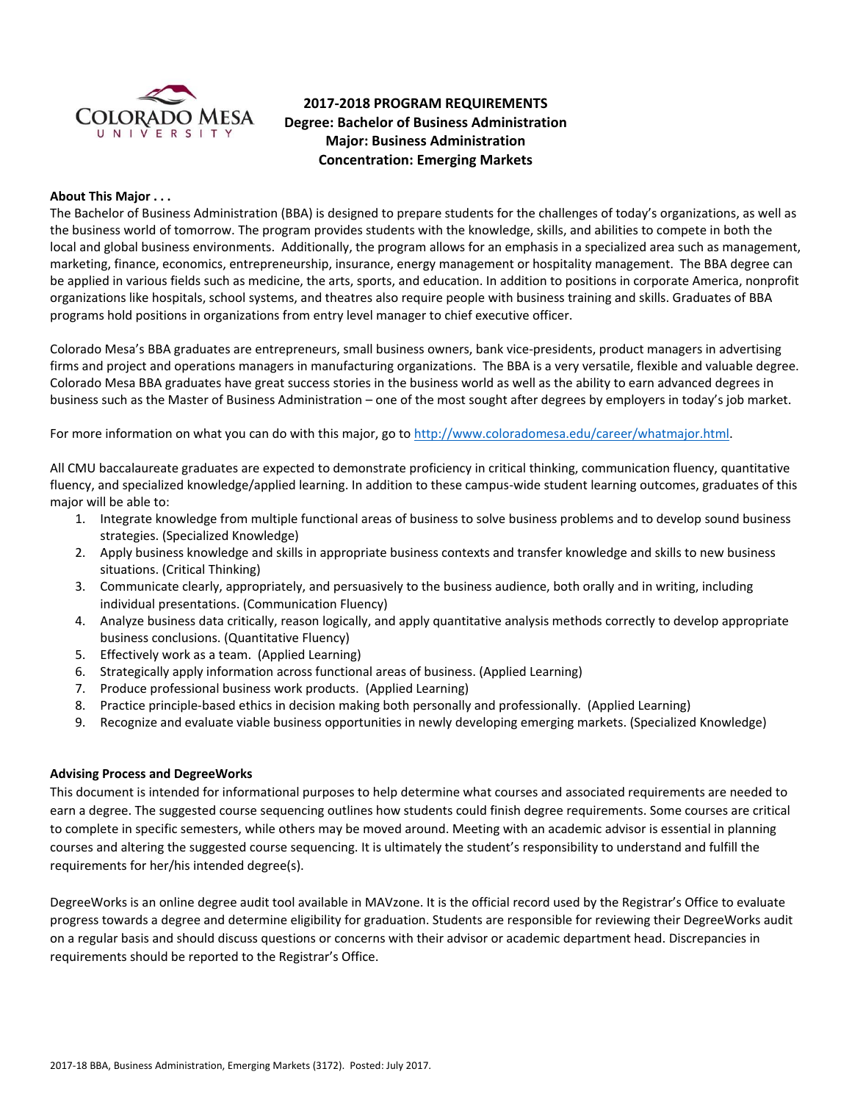

# **2017-2018 PROGRAM REQUIREMENTS Degree: Bachelor of Business Administration Major: Business Administration Concentration: Emerging Markets**

#### **About This Major . . .**

The Bachelor of Business Administration (BBA) is designed to prepare students for the challenges of today's organizations, as well as the business world of tomorrow. The program provides students with the knowledge, skills, and abilities to compete in both the local and global business environments. Additionally, the program allows for an emphasis in a specialized area such as management, marketing, finance, economics, entrepreneurship, insurance, energy management or hospitality management. The BBA degree can be applied in various fields such as medicine, the arts, sports, and education. In addition to positions in corporate America, nonprofit organizations like hospitals, school systems, and theatres also require people with business training and skills. Graduates of BBA programs hold positions in organizations from entry level manager to chief executive officer.

Colorado Mesa's BBA graduates are entrepreneurs, small business owners, bank vice-presidents, product managers in advertising firms and project and operations managers in manufacturing organizations. The BBA is a very versatile, flexible and valuable degree. Colorado Mesa BBA graduates have great success stories in the business world as well as the ability to earn advanced degrees in business such as the Master of Business Administration – one of the most sought after degrees by employers in today's job market.

For more information on what you can do with this major, go t[o http://www.coloradomesa.edu/career/whatmajor.html.](http://www.coloradomesa.edu/career/whatmajor.html)

All CMU baccalaureate graduates are expected to demonstrate proficiency in critical thinking, communication fluency, quantitative fluency, and specialized knowledge/applied learning. In addition to these campus-wide student learning outcomes, graduates of this major will be able to:

- 1. Integrate knowledge from multiple functional areas of business to solve business problems and to develop sound business strategies. (Specialized Knowledge)
- 2. Apply business knowledge and skills in appropriate business contexts and transfer knowledge and skills to new business situations. (Critical Thinking)
- 3. Communicate clearly, appropriately, and persuasively to the business audience, both orally and in writing, including individual presentations. (Communication Fluency)
- 4. Analyze business data critically, reason logically, and apply quantitative analysis methods correctly to develop appropriate business conclusions. (Quantitative Fluency)
- 5. Effectively work as a team. (Applied Learning)
- 6. Strategically apply information across functional areas of business. (Applied Learning)
- 7. Produce professional business work products. (Applied Learning)
- 8. Practice principle-based ethics in decision making both personally and professionally. (Applied Learning)
- 9. Recognize and evaluate viable business opportunities in newly developing emerging markets. (Specialized Knowledge)

#### **Advising Process and DegreeWorks**

This document is intended for informational purposes to help determine what courses and associated requirements are needed to earn a degree. The suggested course sequencing outlines how students could finish degree requirements. Some courses are critical to complete in specific semesters, while others may be moved around. Meeting with an academic advisor is essential in planning courses and altering the suggested course sequencing. It is ultimately the student's responsibility to understand and fulfill the requirements for her/his intended degree(s).

DegreeWorks is an online degree audit tool available in MAVzone. It is the official record used by the Registrar's Office to evaluate progress towards a degree and determine eligibility for graduation. Students are responsible for reviewing their DegreeWorks audit on a regular basis and should discuss questions or concerns with their advisor or academic department head. Discrepancies in requirements should be reported to the Registrar's Office.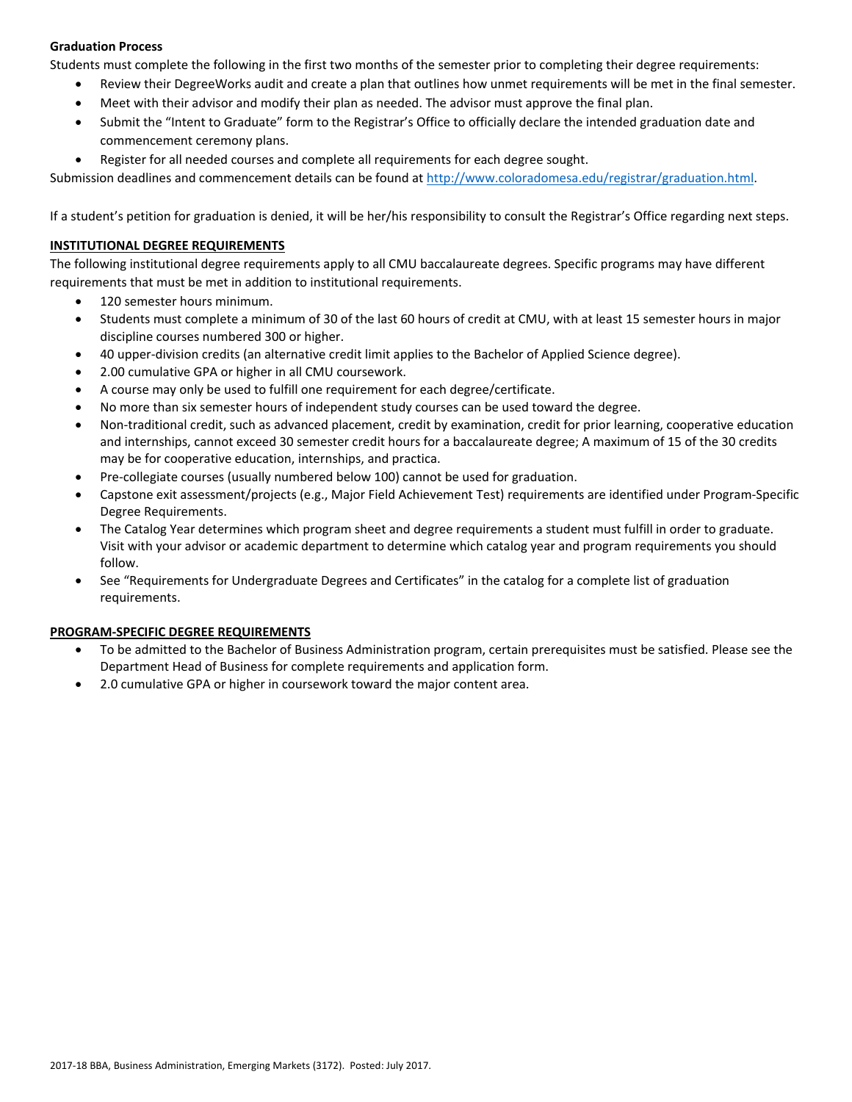# **Graduation Process**

Students must complete the following in the first two months of the semester prior to completing their degree requirements:

- Review their DegreeWorks audit and create a plan that outlines how unmet requirements will be met in the final semester.
- Meet with their advisor and modify their plan as needed. The advisor must approve the final plan.
- Submit the "Intent to Graduate" form to the Registrar's Office to officially declare the intended graduation date and commencement ceremony plans.
- Register for all needed courses and complete all requirements for each degree sought.

Submission deadlines and commencement details can be found at [http://www.coloradomesa.edu/registrar/graduation.html.](http://www.coloradomesa.edu/registrar/graduation.html)

If a student's petition for graduation is denied, it will be her/his responsibility to consult the Registrar's Office regarding next steps.

# **INSTITUTIONAL DEGREE REQUIREMENTS**

The following institutional degree requirements apply to all CMU baccalaureate degrees. Specific programs may have different requirements that must be met in addition to institutional requirements.

- 120 semester hours minimum.
- Students must complete a minimum of 30 of the last 60 hours of credit at CMU, with at least 15 semester hours in major discipline courses numbered 300 or higher.
- 40 upper-division credits (an alternative credit limit applies to the Bachelor of Applied Science degree).
- 2.00 cumulative GPA or higher in all CMU coursework.
- A course may only be used to fulfill one requirement for each degree/certificate.
- No more than six semester hours of independent study courses can be used toward the degree.
- Non-traditional credit, such as advanced placement, credit by examination, credit for prior learning, cooperative education and internships, cannot exceed 30 semester credit hours for a baccalaureate degree; A maximum of 15 of the 30 credits may be for cooperative education, internships, and practica.
- Pre-collegiate courses (usually numbered below 100) cannot be used for graduation.
- Capstone exit assessment/projects (e.g., Major Field Achievement Test) requirements are identified under Program-Specific Degree Requirements.
- The Catalog Year determines which program sheet and degree requirements a student must fulfill in order to graduate. Visit with your advisor or academic department to determine which catalog year and program requirements you should follow.
- See "Requirements for Undergraduate Degrees and Certificates" in the catalog for a complete list of graduation requirements.

# **PROGRAM-SPECIFIC DEGREE REQUIREMENTS**

- To be admitted to the Bachelor of Business Administration program, certain prerequisites must be satisfied. Please see the Department Head of Business for complete requirements and application form.
- 2.0 cumulative GPA or higher in coursework toward the major content area.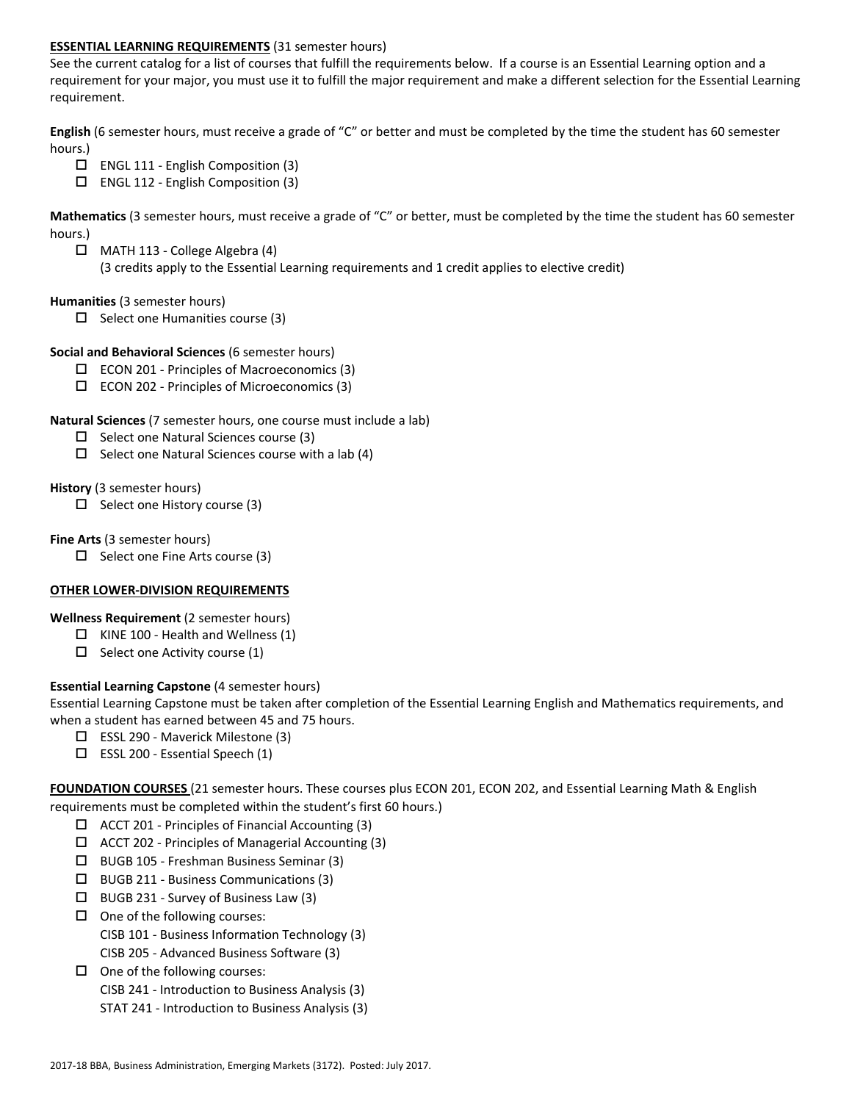# **ESSENTIAL LEARNING REQUIREMENTS** (31 semester hours)

See the current catalog for a list of courses that fulfill the requirements below. If a course is an Essential Learning option and a requirement for your major, you must use it to fulfill the major requirement and make a different selection for the Essential Learning requirement.

**English** (6 semester hours, must receive a grade of "C" or better and must be completed by the time the student has 60 semester hours.)

- $\Box$  ENGL 111 English Composition (3)
- $\square$  ENGL 112 English Composition (3)

**Mathematics** (3 semester hours, must receive a grade of "C" or better, must be completed by the time the student has 60 semester hours.)

 $\Box$  MATH 113 - College Algebra (4)

(3 credits apply to the Essential Learning requirements and 1 credit applies to elective credit)

#### **Humanities** (3 semester hours)

 $\Box$  Select one Humanities course (3)

#### **Social and Behavioral Sciences** (6 semester hours)

- $\Box$  ECON 201 Principles of Macroeconomics (3)
- $\square$  ECON 202 Principles of Microeconomics (3)

#### **Natural Sciences** (7 semester hours, one course must include a lab)

- $\Box$  Select one Natural Sciences course (3)
- $\Box$  Select one Natural Sciences course with a lab (4)

#### **History** (3 semester hours)

 $\Box$  Select one History course (3)

#### **Fine Arts** (3 semester hours)

 $\Box$  Select one Fine Arts course (3)

# **OTHER LOWER-DIVISION REQUIREMENTS**

# **Wellness Requirement** (2 semester hours)

- $\Box$  KINE 100 Health and Wellness (1)
- $\Box$  Select one Activity course (1)

# **Essential Learning Capstone** (4 semester hours)

Essential Learning Capstone must be taken after completion of the Essential Learning English and Mathematics requirements, and when a student has earned between 45 and 75 hours.

- $\Box$  ESSL 290 Maverick Milestone (3)
- $\square$  ESSL 200 Essential Speech (1)

**FOUNDATION COURSES** (21 semester hours. These courses plus ECON 201, ECON 202, and Essential Learning Math & English requirements must be completed within the student's first 60 hours.)

- $\Box$  ACCT 201 Principles of Financial Accounting (3)
- $\Box$  ACCT 202 Principles of Managerial Accounting (3)
- BUGB 105 Freshman Business Seminar (3)
- $\square$  BUGB 211 Business Communications (3)
- $\Box$  BUGB 231 Survey of Business Law (3)
- $\Box$  One of the following courses: CISB 101 - Business Information Technology (3) CISB 205 - Advanced Business Software (3)
- $\Box$  One of the following courses:
	- CISB 241 Introduction to Business Analysis (3)
	- STAT 241 Introduction to Business Analysis (3)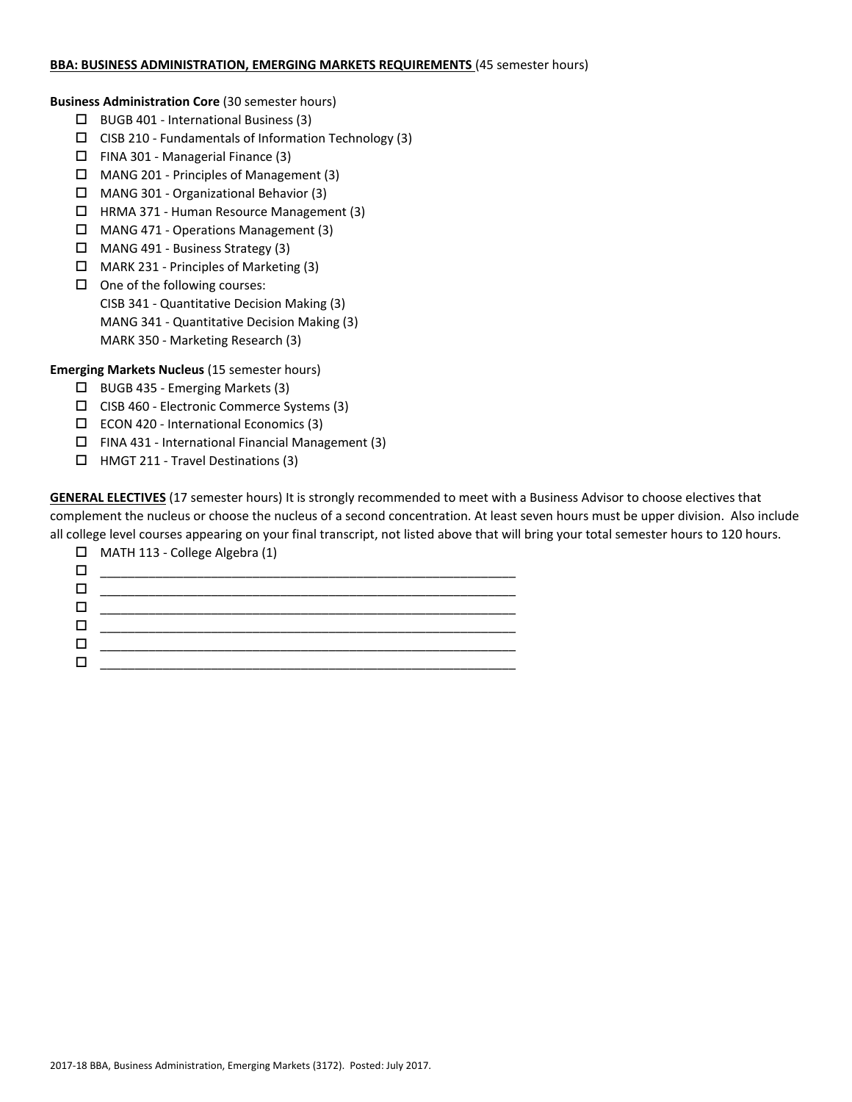#### **BBA: BUSINESS ADMINISTRATION, EMERGING MARKETS REQUIREMENTS** (45 semester hours)

**Business Administration Core** (30 semester hours)

- $\Box$  BUGB 401 International Business (3)
- $\square$  CISB 210 Fundamentals of Information Technology (3)
- $\Box$  FINA 301 Managerial Finance (3)
- MANG 201 Principles of Management (3)
- MANG 301 Organizational Behavior (3)
- □ HRMA 371 Human Resource Management (3)
- MANG 471 Operations Management (3)
- MANG 491 Business Strategy (3)
- MARK 231 Principles of Marketing (3)
- $\Box$  One of the following courses: CISB 341 - Quantitative Decision Making (3) MANG 341 - Quantitative Decision Making (3) MARK 350 - Marketing Research (3)

**Emerging Markets Nucleus** (15 semester hours)

- BUGB 435 Emerging Markets (3)
- CISB 460 Electronic Commerce Systems (3)
- $\square$  ECON 420 International Economics (3)
- $\square$  FINA 431 International Financial Management (3)
- HMGT 211 Travel Destinations (3)

**GENERAL ELECTIVES** (17 semester hours) It is strongly recommended to meet with a Business Advisor to choose electives that complement the nucleus or choose the nucleus of a second concentration. At least seven hours must be upper division. Also include all college level courses appearing on your final transcript, not listed above that will bring your total semester hours to 120 hours.